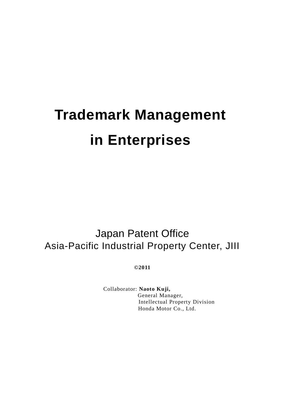# **Trademark Management in Enterprises**

Japan Patent Office Asia-Pacific Industrial Property Center, JIII

**©2011**

Collaborator: **Naoto Kuji,** General Manager, Intellectual Property Division Honda Motor Co., Ltd.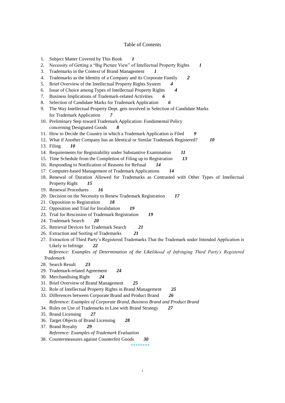# Table of Contents

| 1. | Subject Matter Covered by This Book<br>1                                                               |  |  |  |  |
|----|--------------------------------------------------------------------------------------------------------|--|--|--|--|
| 2. | Necessity of Getting a "Big Picture View" of Intellectual Property Rights<br>1                         |  |  |  |  |
| 3. | Trademarks in the Context of Brand Management<br>$\boldsymbol{\eta}$                                   |  |  |  |  |
| 4. | Trademarks as the Identity of a Company and its Corporate Family<br>$\boldsymbol{2}$                   |  |  |  |  |
| 5. | Brief Overview of the Intellectual Property Rights System<br>$\boldsymbol{4}$                          |  |  |  |  |
| 6. | Issue of Choice among Types of Intellectual Property Rights<br>4                                       |  |  |  |  |
| 7. | Business Implications of Trademark-related Activities<br>6                                             |  |  |  |  |
| 8. | Selection of Candidate Marks for Trademark Application<br>6                                            |  |  |  |  |
| 9. | The Way Intellectual Property Dept. gets involved in Selection of Candidate Marks                      |  |  |  |  |
|    | for Trademark Application<br>7                                                                         |  |  |  |  |
|    | 10. Preliminary Step toward Trademark Application: Fundamental Policy                                  |  |  |  |  |
|    | concerning Designated Goods<br>8                                                                       |  |  |  |  |
|    | 11. How to Decide the Country in which a Trademark Application is Filed<br>9                           |  |  |  |  |
|    | 12. What if Another Company has an Identical or Similar Trademark Registered?<br>10                    |  |  |  |  |
|    | 13. Filing<br>10                                                                                       |  |  |  |  |
|    | 14. Requirements for Registrability under Substantive Examination<br>11                                |  |  |  |  |
|    | 15. Time Schedule from the Completion of Filing up to Registration<br>13                               |  |  |  |  |
|    | 16. Responding to Notification of Reasons for Refusal<br>14                                            |  |  |  |  |
|    | 17. Computer-based Management of Trademark Applications<br>14                                          |  |  |  |  |
|    | 18. Renewal of Duration Allowed for Trademarks as Contrasted with Other Types of Intellectual          |  |  |  |  |
|    | Property Right<br>15                                                                                   |  |  |  |  |
|    | 19. Renewal Procedures<br>16                                                                           |  |  |  |  |
|    | 20. Decision on the Necessity to Renew Trademark Registration<br>17                                    |  |  |  |  |
|    | 21. Opposition to Registration<br>18                                                                   |  |  |  |  |
|    | 22. Opposition and Trial for Invalidation<br>19                                                        |  |  |  |  |
|    | 23. Trial for Rescission of Trademark Registration<br>19                                               |  |  |  |  |
|    | 24. Trademark Search<br>20                                                                             |  |  |  |  |
|    | 25. Retrieval Devices for Trademark Search<br>21                                                       |  |  |  |  |
|    | 26. Extraction and Sorting of Trademarks<br>21                                                         |  |  |  |  |
|    | 27. Extraction of Third Party's Registered Trademarks That the Trademark under Intended Application is |  |  |  |  |
|    | Likely to Infringe<br>22                                                                               |  |  |  |  |
|    | Reference: Examples of Determination of the Likelihood of Infringing Third Party's Registered          |  |  |  |  |
|    | <b>Trademark</b>                                                                                       |  |  |  |  |
|    | 28. Search Result<br>23                                                                                |  |  |  |  |
|    | 29. Trademark-related Agreement<br>24                                                                  |  |  |  |  |
|    | 30. Merchandising Right<br>24                                                                          |  |  |  |  |
|    | 31. Brief Overview of Brand Management<br>25                                                           |  |  |  |  |
|    | 32. Role of Intellectual Property Rights in Brand Management<br>25                                     |  |  |  |  |
|    | 33. Differences between Corporate Brand and Product Brand<br>26                                        |  |  |  |  |
|    | Reference: Examples of Corporate Brand, Business Brand and Product Brand                               |  |  |  |  |
|    | 34. Rules on Use of Trademarks in Line with Brand Strategy<br>27                                       |  |  |  |  |
|    | 35. Brand Licensing<br>27                                                                              |  |  |  |  |
|    | 36. Target Objects of Brand Licensing<br>28                                                            |  |  |  |  |
|    | 37. Brand Royalty<br>29                                                                                |  |  |  |  |
|    | Reference: Examples of Trademark Evaluation                                                            |  |  |  |  |
|    | 38. Countermeasures against Counterfeit Goods<br>30                                                    |  |  |  |  |
|    | ********                                                                                               |  |  |  |  |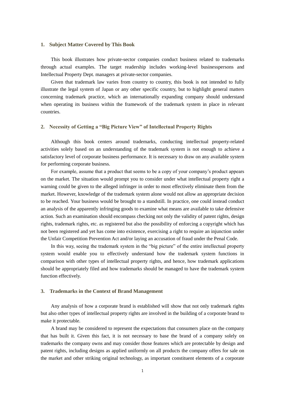#### **1. Subject Matter Covered by This Book**

This book illustrates how private-sector companies conduct business related to trademarks through actual examples. The target readership includes working-level businesspersons and Intellectual Property Dept. managers at private-sector companies.

Given that trademark law varies from country to country, this book is not intended to fully illustrate the legal system of Japan or any other specific country, but to highlight general matters concerning trademark practice, which an internationally expanding company should understand when operating its business within the framework of the trademark system in place in relevant countries.

#### **2. Necessity of Getting a "Big Picture View" of Intellectual Property Rights**

Although this book centers around trademarks, conducting intellectual property-related activities solely based on an understanding of the trademark system is not enough to achieve a satisfactory level of corporate business performance. It is necessary to draw on any available system for performing corporate business.

For example, assume that a product that seems to be a copy of your company's product appears on the market. The situation would prompt you to consider under what intellectual property right a warning could be given to the alleged infringer in order to most effectively eliminate them from the market. However, knowledge of the trademark system alone would not allow an appropriate decision to be reached. Your business would be brought to a standstill. In practice, one could instead conduct an analysis of the apparently infringing goods to examine what means are available to take defensive action. Such an examination should encompass checking not only the validity of patent rights, design rights, trademark rights, etc. as registered but also the possibility of enforcing a copyright which has not been registered and yet has come into existence, exercising a right to require an injunction under the Unfair Competition Prevention Act and/or laying an accusation of fraud under the Penal Code.

In this way, seeing the trademark system in the "big picture" of the entire intellectual property system would enable you to effectively understand how the trademark system functions in comparison with other types of intellectual property rights, and hence, how trademark applications should be appropriately filed and how trademarks should be managed to have the trademark system function effectively.

#### **3. Trademarks in the Context of Brand Management**

Any analysis of how a corporate brand is established will show that not only trademark rights but also other types of intellectual property rights are involved in the building of a corporate brand to make it protectable.

A brand may be considered to represent the expectations that consumers place on the company that has built it. Given this fact, it is not necessary to base the brand of a company solely on trademarks the company owns and may consider those features which are protectable by design and patent rights, including designs as applied uniformly on all products the company offers for sale on the market and other striking original technology, as important constituent elements of a corporate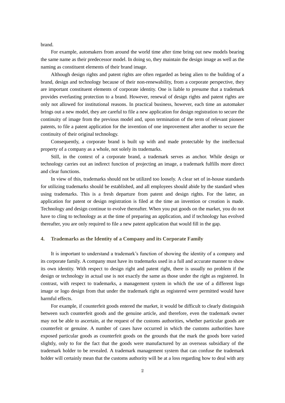brand.

For example, automakers from around the world time after time bring out new models bearing the same name as their predecessor model. In doing so, they maintain the design image as well as the naming as constituent elements of their brand image.

Although design rights and patent rights are often regarded as being alien to the building of a brand, design and technology because of their non-renewability, from a corporate perspective, they are important constituent elements of corporate identity. One is liable to presume that a trademark provides everlasting protection to a brand. However, renewal of design rights and patent rights are only not allowed for institutional reasons. In practical business, however, each time an automaker brings out a new model, they are careful to file a new application for design registration to secure the continuity of image from the previous model and, upon termination of the term of relevant pioneer patents, to file a patent application for the invention of one improvement after another to secure the continuity of their original technology.

Consequently, a corporate brand is built up with and made protectable by the intellectual property of a company as a whole, not solely its trademarks.

Still, in the context of a corporate brand, a trademark serves as anchor. While design or technology carries out an indirect function of projecting an image, a trademark fulfills more direct and clear functions.

In view of this, trademarks should not be utilized too loosely. A clear set of in-house standards for utilizing trademarks should be established, and all employees should abide by the standard when using trademarks. This is a fresh departure from patent and design rights. For the latter, an application for patent or design registration is filed at the time an invention or creation is made. Technology and design continue to evolve thereafter. When you put goods on the market, you do not have to cling to technology as at the time of preparing an application, and if technology has evolved thereafter, you are only required to file a new patent application that would fill in the gap.

#### **4. Trademarks as the Identity of a Company and its Corporate Family**

It is important to understand a trademark's function of showing the identity of a company and its corporate family. A company must have its trademarks used in a full and accurate manner to show its own identity. With respect to design right and patent right, there is usually no problem if the design or technology in actual use is not exactly the same as those under the right as registered. In contrast, with respect to trademarks, a management system in which the use of a different logo image or logo design from that under the trademark right as registered were permitted would have harmful effects.

For example, if counterfeit goods entered the market, it would be difficult to clearly distinguish between such counterfeit goods and the genuine article, and therefore, even the trademark owner may not be able to ascertain, at the request of the customs authorities, whether particular goods are counterfeit or genuine. A number of cases have occurred in which the customs authorities have exposed particular goods as counterfeit goods on the grounds that the mark the goods bore varied slightly, only to for the fact that the goods were manufactured by an overseas subsidiary of the trademark holder to be revealed. A trademark management system that can confuse the trademark holder will certainly mean that the customs authority will be at a loss regarding how to deal with any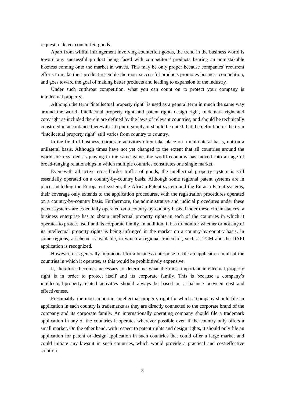request to detect counterfeit goods.

Apart from willful infringement involving counterfeit goods, the trend in the business world is toward any successful product being faced with competitors' products bearing an unmistakable likeness coming onto the market in waves. This may be only proper because companies' recurrent efforts to make their product resemble the most successful products promotes business competition, and goes toward the goal of making better products and leading to expansion of the industry.

Under such cutthroat competition, what you can count on to protect your company is intellectual property.

Although the term "intellectual property right" is used as a general term in much the same way around the world, Intellectual property right and patent right, design right, trademark right and copyright as included therein are defined by the laws of relevant countries, and should be technically construed in accordance therewith. To put it simply, it should be noted that the definition of the term "intellectual property right" still varies from country to country.

In the field of business, corporate activities often take place on a multilateral basis, not on a unilateral basis. Although times have not yet changed to the extent that all countries around the world are regarded as playing in the same game, the world economy has moved into an age of broad-ranging relationships in which multiple countries constitutes one single market.

Even with all active cross-border traffic of goods, the intellectual property system is still essentially operated on a country-by-country basis. Although some regional patent systems are in place, including the Europatent system, the African Patent system and the Eurasia Patent systems, their coverage only extends to the application procedures, with the registration procedures operated on a country-by-country basis. Furthermore, the administrative and judicial procedures under these patent systems are essentially operated on a country-by-country basis. Under these circumstances, a business enterprise has to obtain intellectual property rights in each of the countries in which it operates to protect itself and its corporate family. In addition, it has to monitor whether or not any of its intellectual property rights is being infringed in the market on a country-by-country basis. In some regions, a scheme is available, in which a regional trademark, such as TCM and the OAPI application is recognized.

However, it is generally impractical for a business enterprise to file an application in all of the countries in which it operates, as this would be prohibitively expensive.

It, therefore, becomes necessary to determine what the most important intellectual property right is in order to protect itself and its corporate family. This is because a company's intellectual-property-related activities should always be based on a balance between cost and effectiveness.

Presumably, the most important intellectual property right for which a company should file an application in each country is trademarks as they are directly connected to the corporate brand of the company and its corporate family. An internationally operating company should file a trademark application in any of the countries it operates wherever possible even if the country only offers a small market. On the other hand, with respect to patent rights and design rights, it should only file an application for patent or design application in such countries that could offer a large market and could initiate any lawsuit in such countries, which would provide a practical and cost-effective solution.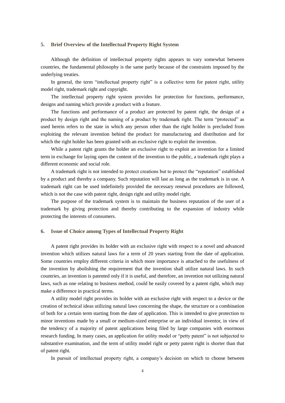#### **5. Brief Overview of the Intellectual Property Right System**

Although the definition of intellectual property rights appears to vary somewhat between countries, the fundamental philosophy is the same partly because of the constraints imposed by the underlying treaties.

In general, the term "intellectual property right" is a collective term for patent right, utility model right, trademark right and copyright.

The intellectual property right system provides for protection for functions, performance, designs and naming which provide a product with a feature.

The functions and performance of a product are protected by patent right, the design of a product by design right and the naming of a product by trademark right. The term "protected" as used herein refers to the state in which any person other than the right holder is precluded from exploiting the relevant invention behind the product for manufacturing and distribution and for which the right holder has been granted with an exclusive right to exploit the invention.

While a patent right grants the holder an exclusive right to exploit an invention for a limited term in exchange for laying open the content of the invention to the public, a trademark right plays a different economic and social role.

A trademark right is not intended to protect creations but to protect the "reputation" established by a product and thereby a company. Such reputation will last as long as the trademark is in use. A trademark right can be used indefinitely provided the necessary renewal procedures are followed, which is not the case with patent right, design right and utility model right.

The purpose of the trademark system is to maintain the business reputation of the user of a trademark by giving protection and thereby contributing to the expansion of industry while protecting the interests of consumers.

#### **6. Issue of Choice among Types of Intellectual Property Right**

A patent right provides its holder with an exclusive right with respect to a novel and advanced invention which utilizes natural laws for a term of 20 years starting from the date of application. Some countries employ different criteria in which more importance is attached to the usefulness of the invention by abolishing the requirement that the invention shall utilize natural laws. In such countries, an invention is patented only if it is useful, and therefore, an invention not utilizing natural laws, such as one relating to business method, could be easily covered by a patent right, which may make a difference in practical terms.

A utility model right provides its holder with an exclusive right with respect to a device or the creation of technical ideas utilizing natural laws concerning the shape, the structure or a combination of both for a certain term starting from the date of application. This is intended to give protection to minor inventions made by a small or medium-sized enterprise or an individual inventor, in view of the tendency of a majority of patent applications being filed by large companies with enormous research funding. In many cases, an application for utility model or "petty patent" is not subjected to substantive examination, and the term of utility model right or petty patent right is shorter than that of patent right.

In pursuit of intellectual property right, a company's decision on which to choose between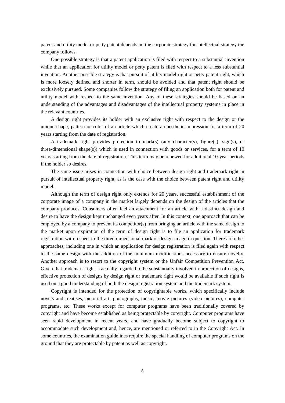patent and utility model or petty patent depends on the corporate strategy for intellectual strategy the company follows.

One possible strategy is that a patent application is filed with respect to a substantial invention while that an application for utility model or petty patent is filed with respect to a less substantial invention. Another possible strategy is that pursuit of utility model right or petty patent right, which is more loosely defined and shorter in term, should be avoided and that patent right should be exclusively pursued. Some companies follow the strategy of filing an application both for patent and utility model with respect to the same invention. Any of these strategies should be based on an understanding of the advantages and disadvantages of the intellectual property systems in place in the relevant countries.

A design right provides its holder with an exclusive right with respect to the design or the unique shape, pattern or color of an article which create an aesthetic impression for a term of 20 years starting from the date of registration.

A trademark right provides protection to mark(s) (any character(s), figure(s), sign(s), or three-dimensional shape(s)) which is used in connection with goods or services, for a term of  $10$ years starting from the date of registration. This term may be renewed for additional 10-year periods if the holder so desires.

The same issue arises in connection with choice between design right and trademark right in pursuit of intellectual property right, as is the case with the choice between patent right and utility model.

Although the term of design right only extends for 20 years, successful establishment of the corporate image of a company in the market largely depends on the design of the articles that the company produces. Consumers often feel an attachment for an article with a distinct design and desire to have the design kept unchanged even years after. In this context, one approach that can be employed by a company to prevent its competitor(s) from bringing an article with the same design to the market upon expiration of the term of design right is to file an application for trademark registration with respect to the three-dimensional mark or design image in question. There are other approaches, including one in which an application for design registration is filed again with respect to the same design with the addition of the minimum modifications necessary to ensure novelty. Another approach is to resort to the copyright system or the Unfair Competition Prevention Act. Given that trademark right is actually regarded to be substantially involved in protection of designs, effective protection of designs by design right or trademark right would be available if such right is used on a good understanding of both the design registration system and the trademark system.

Copyright is intended for the protection of copyrightable works, which specifically include novels and treatises, pictorial art, photographs, music, movie pictures (video pictures), computer programs, etc. These works except for computer programs have been traditionally covered by copyright and have become established as being protectable by copyright. Computer programs have seen rapid development in recent years, and have gradually become subject to copyright to accommodate such development and, hence, are mentioned or referred to in the Copyright Act. In some countries, the examination guidelines require the special handling of computer programs on the ground that they are protectable by patent as well as copyright.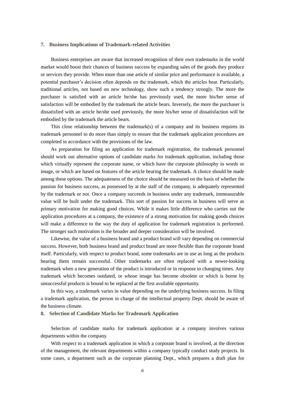#### **7. Business Implications of Trademark-related Activities**

Business enterprises are aware that increased recognition of their own trademarks in the world market would boost their chances of business success by expanding sales of the goods they produce or services they provide. When more than one article of similar price and performance is available, a potential purchaser's decision often depends on the trademark, which the articles bear. Particularly, traditional articles, not based on new technology, show such a tendency strongly. The more the purchaser is satisfied with an article he/she has previously used, the more his/her sense of satisfaction will be embodied by the trademark the article bears. Inversely, the more the purchaser is dissatisfied with an article he/she used previously, the more his/her sense of dissatisfaction will be embodied by the trademark the article bears.

This close relationship between the trademark(s) of a company and its business requires its trademark personnel to do more than simply to ensure that the trademark application procedures are completed in accordance with the provisions of the law.

As preparation for filing an application for trademark registration, the trademark personnel should work out alternative options of candidate marks for trademark application, including those which virtually represent the corporate name, or which have the corporate philosophy in words or image, or which are based on features of the article bearing the trademark. A choice should be made among these options. The adequateness of the choice should be measured on the basis of whether the passion for business success, as possessed by at the staff of the company, is adequately represented by the trademark or not. Once a company succeeds in business under any trademark, immeasurable value will be built under the trademark. This sort of passion for success in business will serve as primary motivation for making good choices. While it makes little difference who carries out the application procedures at a company, the existence of a strong motivation for making goods choices will make a difference to the way the duty of application for trademark registration is performed. The stronger such motivation is the broader and deeper consideration will be involved.

Likewise, the value of a business brand and a product brand will vary depending on commercial success. However, both business brand and product brand are more flexible than the corporate brand itself. Particularly, with respect to product brand, some trademarks are in use as long as the products bearing them remain successful. Other trademarks are often replaced with a newer-looking trademark when a new generation of the product is introduced or in response to changing times. Any trademark which becomes outdated, or whose image has become obsolete or which is borne by unsuccessful products is bound to be replaced at the first available opportunity.

In this way, a trademark varies in value depending on the underlying business success. In filing a trademark application, the person in charge of the intellectual property Dept. should be aware of the business climate.

#### **8. Selection of Candidate Marks for Trademark Application**

Selection of candidate marks for trademark application at a company involves various departments within the company.

With respect to a trademark application in which a corporate brand is involved, at the direction of the management, the relevant departments within a company typically conduct study projects. In some cases, a department such as the corporate planning Dept., which prepares a draft plan for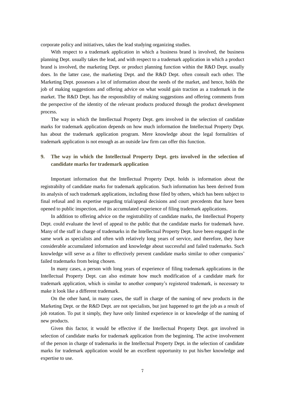corporate policy and initiatives, takes the lead studying organizing studies.

With respect to a trademark application in which a business brand is involved, the business planning Dept. usually takes the lead, and with respect to a trademark application in which a product brand is involved, the marketing Dept. or product planning function within the R&D Dept. usually does. In the latter case, the marketing Dept. and the R&D Dept. often consult each other. The Marketing Dept. possesses a lot of information about the needs of the market, and hence, holds the job of making suggestions and offering advice on what would gain traction as a trademark in the market. The R&D Dept. has the responsibility of making suggestions and offering comments from the perspective of the identity of the relevant products produced through the product development process.

The way in which the Intellectual Property Dept. gets involved in the selection of candidate marks for trademark application depends on how much information the Intellectual Property Dept. has about the trademark application program. Mere knowledge about the legal formalities of trademark application is not enough as an outside law firm can offer this function.

# **9. The way in which the Intellectual Property Dept. gets involved in the selection of candidate marks for trademark application**

Important information that the Intellectual Property Dept. holds is information about the registrabilty of candidate marks for trademark application. Such information has been derived from its analysis of such trademark applications, including those filed by others, which has been subject to final refusal and its expertise regarding trial/appeal decisions and court precedents that have been opened to public inspection, and its accumulated experience of filing trademark applications.

In addition to offering advice on the registrability of candidate marks, the Intellectual Property Dept. could evaluate the level of appeal to the public that the candidate marks for trademark have. Many of the staff in charge of trademarks in the Intellectual Property Dept. have been engaged in the same work as specialists and often with relatively long years of service, and therefore, they have considerable accumulated information and knowledge about successful and failed trademarks. Such knowledge will serve as a filter to effectively prevent candidate marks similar to other companies' failed trademarks from being chosen.

In many cases, a person with long years of experience of filing trademark applications in the Intellectual Property Dept. can also estimate how much modification of a candidate mark for trademark application, which is similar to another company's registered trademark, is necessary to make it look like a different trademark.

On the other hand, in many cases, the staff in charge of the naming of new products in the Marketing Dept. or the R&D Dept. are not specialists, but just happened to get the job as a result of job rotation. To put it simply, they have only limited experience in or knowledge of the naming of new products.

Given this factor, it would be effective if the Intellectual Property Dept. got involved in selection of candidate marks for trademark application from the beginning. The active involvement of the person in charge of trademarks in the Intellectual Property Dept. in the selection of candidate marks for trademark application would be an excellent opportunity to put his/her knowledge and expertise to use.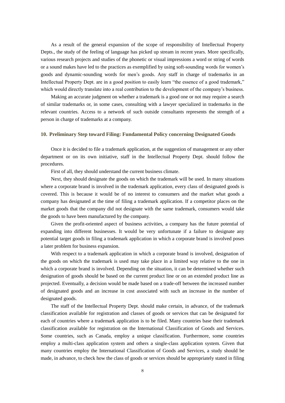As a result of the general expansion of the scope of responsibility of Intellectual Property Depts., the study of the feeling of language has picked up stream in recent years. More specifically, various research projects and studies of the phonetic or visual impressions a word or string of words or a sound makes have led to the practices as exemplified by using soft-sounding words for women's goods and dynamic-sounding words for men's goods. Any staff in charge of trademarks in an Intellectual Property Dept. are in a good position to easily learn "the essence of a good trademark," which would directly translate into a real contribution to the development of the company's business.

Making an accurate judgment on whether a trademark is a good one or not may require a search of similar trademarks or, in some cases, consulting with a lawyer specialized in trademarks in the relevant countries. Access to a network of such outside consultants represents the strength of a person in charge of trademarks at a company.

#### **10. Preliminary Step toward Filing: Fundamental Policy concerning Designated Goods**

Once it is decided to file a trademark application, at the suggestion of management or any other department or on its own initiative, staff in the Intellectual Property Dept. should follow the procedures.

First of all, they should understand the current business climate.

Next, they should designate the goods on which the trademark will be used. In many situations where a corporate brand is involved in the trademark application, every class of designated goods is covered. This is because it would be of no interest to consumers and the market what goods a company has designated at the time of filing a trademark application. If a competitor places on the market goods that the company did not designate with the same trademark, consumers would take the goods to have been manufactured by the company.

Given the profit-oriented aspect of business activities, a company has the future potential of expanding into different businesses. It would be very unfortunate if a failure to designate any potential target goods in filing a trademark application in which a corporate brand is involved poses a later problem for business expansion.

With respect to a trademark application in which a corporate brand is involved, designation of the goods on which the trademark is used may take place in a limited way relative to the one in which a corporate brand is involved. Depending on the situation, it can be determined whether such designation of goods should be based on the current product line or on an extended product line as projected. Eventually, a decision would be made based on a trade-off between the increased number of designated goods and an increase in cost associated with such an increase in the number of designated goods.

The staff of the Intellectual Property Dept. should make certain, in advance, of the trademark classification available for registration and classes of goods or services that can be designated for each of countries where a trademark application is to be filed. Many countries base their trademark classification available for registration on the International Classification of Goods and Services. Some countries, such as Canada, employ a unique classification. Furthermore, some countries employ a multi-class application system and others a single-class application system. Given that many countries employ the International Classification of Goods and Services, a study should be made, in advance, to check how the class of goods or services should be appropriately stated in filing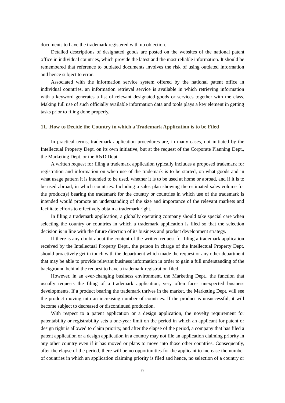documents to have the trademark registered with no objection.

Detailed descriptions of designated goods are posted on the websites of the national patent office in individual countries, which provide the latest and the most reliable information. It should be remembered that reference to outdated documents involves the risk of using outdated information and hence subject to error.

Associated with the information service system offered by the national patent office in individual countries, an information retrieval service is available in which retrieving information with a keyword generates a list of relevant designated goods or services together with the class. Making full use of such officially available information data and tools plays a key element in getting tasks prior to filing done properly.

#### **11. How to Decide the Country in which a Trademark Application is to be Filed**

In practical terms, trademark application procedures are, in many cases, not initiated by the Intellectual Property Dept. on its own initiative, but at the request of the Corporate Planning Dept., the Marketing Dept. or the R&D Dept.

A written request for filing a trademark application typically includes a proposed trademark for registration and information on when use of the trademark is to be started, on what goods and in what usage pattern it is intended to be used, whether it is to be used at home or abroad, and if it is to be used abroad, in which countries. Including a sales plan showing the estimated sales volume for the product(s) bearing the trademark for the country or countries in which use of the trademark is intended would promote an understanding of the size and importance of the relevant markets and facilitate efforts to effectively obtain a trademark right.

In filing a trademark application, a globally operating company should take special care when selecting the country or countries in which a trademark application is filed so that the selection decision is in line with the future direction of its business and product development strategy.

If there is any doubt about the content of the written request for filing a trademark application received by the Intellectual Property Dept., the person in charge of the Intellectual Property Dept. should proactively get in touch with the department which made the request or any other department that may be able to provide relevant business information in order to gain a full understanding of the background behind the request to have a trademark registration filed.

However, in an ever-changing business environment, the Marketing Dept., the function that usually requests the filing of a trademark application, very often faces unexpected business developments. If a product bearing the trademark thrives in the market, the Marketing Dept. will see the product moving into an increasing number of countries. If the product is unsuccessful, it will become subject to decreased or discontinued production.

With respect to a patent application or a design application, the novelty requirement for patentability or registrability sets a one-year limit on the period in which an applicant for patent or design right is allowed to claim priority, and after the elapse of the period, a company that has filed a patent application or a design application in a country may not file an application claiming priority in any other country even if it has moved or plans to move into those other countries. Consequently, after the elapse of the period, there will be no opportunities for the applicant to increase the number of countries in which an application claiming priority is filed and hence, no selection of a country or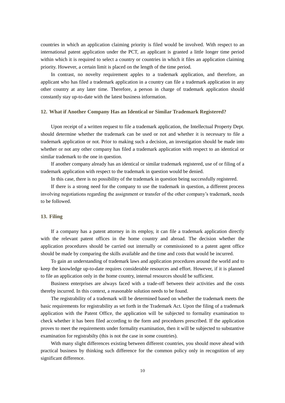countries in which an application claiming priority is filed would be involved. With respect to an international patent application under the PCT, an applicant is granted a little longer time period within which it is required to select a country or countries in which it files an application claiming priority. However, a certain limit is placed on the length of the time period.

In contrast, no novelty requirement apples to a trademark application, and therefore, an applicant who has filed a trademark application in a country can file a trademark application in any other country at any later time. Therefore, a person in charge of trademark application should constantly stay up-to-date with the latest business information.

#### **12. What if Another Company Has an Identical or Similar Trademark Registered?**

Upon receipt of a written request to file a trademark application, the Intellectual Property Dept. should determine whether the trademark can be used or not and whether it is necessary to file a trademark application or not. Prior to making such a decision, an investigation should be made into whether or not any other company has filed a trademark application with respect to an identical or similar trademark to the one in question.

If another company already has an identical or similar trademark registered, use of or filing of a trademark application with respect to the trademark in question would be denied.

In this case, there is no possibility of the trademark in question being successfully registered.

If there is a strong need for the company to use the trademark in question, a different process involving negotiations regarding the assignment or transfer of the other company's trademark, needs to be followed.

## **13. Filing**

If a company has a patent attorney in its employ, it can file a trademark application directly with the relevant patent offices in the home country and abroad. The decision whether the application procedures should be carried out internally or commissioned to a patent agent office should be made by comparing the skills available and the time and costs that would be incurred.

To gain an understanding of trademark laws and application procedures around the world and to keep the knowledge up-to-date requires considerable resources and effort. However, if it is planned to file an application only in the home country, internal resources should be sufficient.

Business enterprises are always faced with a trade-off between their activities and the costs thereby incurred. In this context, a reasonable solution needs to be found.

The registrability of a trademark will be determined based on whether the trademark meets the basic requirements for registrability as set forth in the Trademark Act. Upon the filing of a trademark application with the Patent Office, the application will be subjected to formality examination to check whether it has been filed according to the form and procedures prescribed. If the application proves to meet the requirements under formality examination, then it will be subjected to substantive examination for registrabilty (this is not the case in some countries).

With many slight differences existing between different countries, you should move ahead with practical business by thinking such difference for the common policy only in recognition of any significant difference.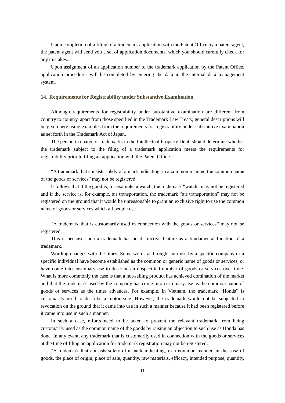Upon completion of a filing of a trademark application with the Patent Office by a patent agent, the patent agent will send you a set of application documents, which you should carefully check for any mistakes.

Upon assignment of an application number to the trademark application by the Patent Office, application procedures will be completed by entering the data in the internal data management system.

## **14. Requirements for Registrability under Substantive Examination**

Although requirements for registrability under substantive examination are different from country to country, apart from those specified in the Trademark Law Treaty, general descriptions will be given here using examples from the requirements for registrability under substantive examination as set forth in the Trademark Act of Japan.

The person in charge of trademarks in the Intellectual Property Dept. should determine whether the trademark subject to the filing of a trademark application meets the requirements for registrability prior to filing an application with the Patent Office.

"A trademark that consists solely of a mark indicating, in a common manner, the common name of the goods or services" may not be registered.

It follows that if the good is, for example, a watch, the trademark "watch" may not be registered and if the service is, for example, air transportation, the trademark "air transportation" may not be registered on the ground that it would be unreasonable to grant an exclusive right to use the common name of goods or services which all people use.

"A trademark that is customarily used in connection with the goods or services" may not be registered.

This is because such a trademark has no distinctive feature as a fundamental function of a trademark.

Wording changes with the times. Some words as brought into use by a specific company or a specific individual have become established as the common or generic name of goods or services, or have come into customary use to describe an unspecified number of goods or services over time. What is more commonly the case is that a hot-selling product has achieved domination of the market and that the trademark used by the company has come into customary use as the common name of goods or services as the times advances. For example, in Vietnam, the trademark "Honda" is customarily used to describe a motorcycle. However, the trademark would not be subjected to revocation on the ground that it came into use in such a manner because it had been registered before it came into use in such a manner.

In such a case, efforts need to be taken to prevent the relevant trademark from being customarily used as the common name of the goods by raising an objection to such use as Honda has done. In any event, any trademark that is customarily used in connection with the goods or services at the time of filing an application for trademark registration may not be registered.

"A trademark that consists solely of a mark indicating, in a common manner, in the case of goods, the place of origin, place of sale, quantity, raw materials, efficacy, intended purpose, quantity,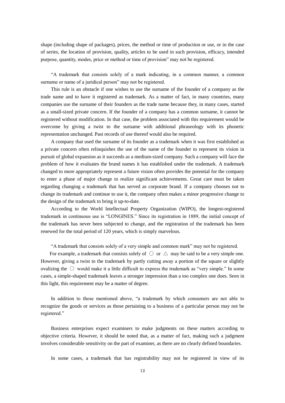shape (including shape of packages), prices, the method or time of production or use, or in the case of series, the location of provision, quality, articles to be used in such provision, efficacy, intended purpose, quantity, modes, price or method or time of provision" may not be registered.

"A trademark that consists solely of a mark indicating, in a common manner, a common surname or name of a juridical person" may not be registered.

This rule is an obstacle if one wishes to use the surname of the founder of a company as the trade name and to have it registered as trademark. As a matter of fact, in many countries, many companies use the surname of their founders as the trade name because they, in many cases, started as a small-sized private concern. If the founder of a company has a common surname, it cannot be registered without modification. In that case, the problem associated with this requirement would be overcome by giving a twist to the surname with additional phraseology with its phonetic representation unchanged. Past records of use thereof would also be required.

A company that used the surname of its founder as a trademark when it was first established as a private concern often relinquishes the use of the name of the founder to represent its vision in pursuit of global expansion as it succeeds as a medium-sized company. Such a company will face the problem of how it evaluates the brand names it has established under the trademark. A trademark changed to more appropriately represent a future vision often provides the potential for the company to enter a phase of major change to realize significant achievements. Great care must be taken regarding changing a trademark that has served as corporate brand. If a company chooses not to change its trademark and continue to use it, the company often makes a minor progressive change to the design of the trademark to bring it up-to-date.

According to the World Intellectual Property Organization (WIPO), the longest-registered trademark in continuous use is "LONGINES." Since its registration in 1889, the initial concept of the trademark has never been subjected to change, and the registration of the trademark has been renewed for the total period of 120 years, which is simply marvelous.

"A trademark that consists solely of a very simple and common mark" may not be registered.

For example, a trademark that consists solely of  $\circ$  or  $\triangle$  may be said to be a very simple one. However, giving a twist to the trademark by partly cutting away a portion of the square or slightly ovalizing the  $\circlearrowright$  would make it a little difficult to express the trademark as "very simple." In some cases, a simple-shaped trademark leaves a stronger impression than a too complex one does. Seen in this light, this requirement may be a matter of degree.

In addition to those mentioned above, "a trademark by which consumers are not able to recognize the goods or services as those pertaining to a business of a particular person may not be registered."

Business enterprises expect examiners to make judgments on these matters according to objective criteria. However, it should be noted that, as a matter of fact, making such a judgment involves considerable sensitivity on the part of examiner, as there are no clearly defined boundaries.

In some cases, a trademark that has registrability may not be registered in view of its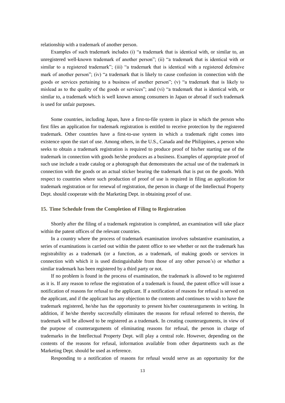relationship with a trademark of another person.

Examples of such trademark includes (i) "a trademark that is identical with, or similar to, an unregistered well-known trademark of another person"; (ii) "a trademark that is identical with or similar to a registered trademark"; (iii) "a trademark that is identical with a registered defensive mark of another person"; (iv) "a trademark that is likely to cause confusion in connection with the goods or services pertaining to a business of another person"; (v) "a trademark that is likely to mislead as to the quality of the goods or services"; and (vi) "a trademark that is identical with, or similar to, a trademark which is well known among consumers in Japan or abroad if such trademark is used for unfair purposes.

Some countries, including Japan, have a first-to-file system in place in which the person who first files an application for trademark registration is entitled to receive protection by the registered trademark. Other countries have a first-to-use system in which a trademark right comes into existence upon the start of use. Among others, in the U.S., Canada and the Philippines, a person who seeks to obtain a trademark registration is required to produce proof of his/her starting use of the trademark in connection with goods he/she produces as a business. Examples of appropriate proof of such use include a trade catalog or a photograph that demonstrates the actual use of the trademark in connection with the goods or an actual sticker bearing the trademark that is put on the goods. With respect to countries where such production of proof of use is required in filing an application for trademark registration or for renewal of registration, the person in charge of the Intellectual Property Dept. should cooperate with the Marketing Dept. in obtaining proof of use.

#### **15. Time Schedule from the Completion of Filing to Registration**

Shortly after the filing of a trademark registration is completed, an examination will take place within the patent offices of the relevant countries.

In a country where the process of trademark examination involves substantive examination, a series of examinations is carried out within the patent office to see whether or not the trademark has registrability as a trademark (or a function, as a trademark, of making goods or services in connection with which it is used distinguishable from those of any other person's) or whether a similar trademark has been registered by a third party or not.

If no problem is found in the process of examination, the trademark is allowed to be registered as it is. If any reason to refuse the registration of a trademark is found, the patent office will issue a notification of reasons for refusal to the applicant. If a notification of reasons for refusal is served on the applicant, and if the applicant has any objection to the contents and continues to wish to have the trademark registered, he/she has the opportunity to present his/her counterarguments in writing. In addition, if he/she thereby successfully eliminates the reasons for refusal referred to therein, the trademark will be allowed to be registered as a trademark. In creating counterarguments, in view of the purpose of counterarguments of eliminating reasons for refusal, the person in charge of trademarks in the Intellectual Property Dept. will play a central role. However, depending on the contents of the reasons for refusal, information available from other departments such as the Marketing Dept. should be used as reference.

Responding to a notification of reasons for refusal would serve as an opportunity for the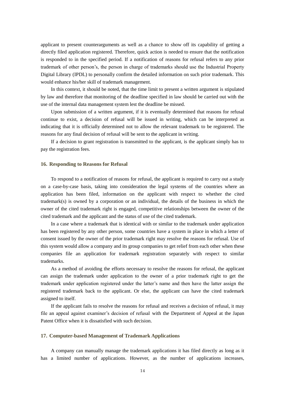applicant to present counterarguments as well as a chance to show off its capability of getting a directly filed application registered. Therefore, quick action is needed to ensure that the notification is responded to in the specified period. If a notification of reasons for refusal refers to any prior trademark of other person's, the person in charge of trademarks should use the Industrial Property Digital Library (IPDL) to personally confirm the detailed information on such prior trademark. This would enhance his/her skill of trademark management.

In this context, it should be noted, that the time limit to present a written argument is stipulated by law and therefore that monitoring of the deadline specified in law should be carried out with the use of the internal data management system lest the deadline be missed.

Upon submission of a written argument, if it is eventually determined that reasons for refusal continue to exist, a decision of refusal will be issued in writing, which can be interpreted as indicating that it is officially determined not to allow the relevant trademark to be registered. The reasons for any final decision of refusal will be sent to the applicant in writing.

If a decision to grant registration is transmitted to the applicant, is the applicant simply has to pay the registration fees.

#### **16. Responding to Reasons for Refusal**

To respond to a notification of reasons for refusal, the applicant is required to carry out a study on a case-by-case basis, taking into consideration the legal systems of the countries where an application has been filed, information on the applicant with respect to whether the cited trademark(s) is owned by a corporation or an individual, the details of the business in which the owner of the cited trademark right is engaged, competitive relationships between the owner of the cited trademark and the applicant and the status of use of the cited trademark.

In a case where a trademark that is identical with or similar to the trademark under application has been registered by any other person, some countries have a system in place in which a letter of consent issued by the owner of the prior trademark right may resolve the reasons for refusal. Use of this system would allow a company and its group companies to get relief from each other when these companies file an application for trademark registration separately with respect to similar trademarks.

As a method of avoiding the efforts necessary to resolve the reasons for refusal, the applicant can assign the trademark under application to the owner of a prior trademark right to get the trademark under application registered under the latter's name and then have the latter assign the registered trademark back to the applicant. Or else, the applicant can have the cited trademark assigned to itself.

If the applicant fails to resolve the reasons for refusal and receives a decision of refusal, it may file an appeal against examiner's decision of refusal with the Department of Appeal at the Japan Patent Office when it is dissatisfied with such decision.

#### **17. Computer-based Management of Trademark Applications**

A company can manually manage the trademark applications it has filed directly as long as it has a limited number of applications. However, as the number of applications increases,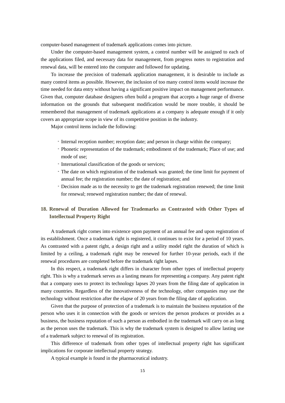computer-based management of trademark applications comes into picture.

Under the computer-based management system, a control number will be assigned to each of the applications filed, and necessary data for management, from progress notes to registration and renewal data, will be entered into the computer and followed for updating.

To increase the precision of trademark application management, it is desirable to include as many control items as possible. However, the inclusion of too many control items would increase the time needed for data entry without having a significant positive impact on management performance. Given that, computer database designers often build a program that accepts a huge range of diverse information on the grounds that subsequent modification would be more trouble, it should be remembered that management of trademark applications at a company is adequate enough if it only covers an appropriate scope in view of its competitive position in the industry.

Major control items include the following:

- Internal reception number; reception date; and person in charge within the company;
- Phonetic representation of the trademark; embodiment of the trademark; Place of use; and mode of use;
- International classification of the goods or services;
- The date on which registration of the trademark was granted; the time limit for payment of annual fee; the registration number; the date of registration; and
- Decision made as to the necessity to get the trademark registration renewed; the time limit for renewal; renewed registration number; the date of renewal.

# **18. Renewal of Duration Allowed for Trademarks as Contrasted with Other Types of Intellectual Property Right**

A trademark right comes into existence upon payment of an annual fee and upon registration of its establishment. Once a trademark right is registered, it continues to exist for a period of 10 years. As contrasted with a patent right, a design right and a utility model right the duration of which is limited by a ceiling, a trademark right may be renewed for further 10-year periods, each if the renewal procedures are completed before the trademark right lapses.

In this respect, a trademark right differs in character from other types of intellectual property right. This is why a trademark serves as a lasting means for representing a company. Any patent right that a company uses to protect its technology lapses 20 years from the filing date of application in many countries. Regardless of the innovativeness of the technology, other companies may use the technology without restriction after the elapse of 20 years from the filing date of application.

Given that the purpose of protection of a trademark is to maintain the business reputation of the person who uses it in connection with the goods or services the person produces or provides as a business, the business reputation of such a person as embodied in the trademark will carry on as long as the person uses the trademark. This is why the trademark system is designed to allow lasting use of a trademark subject to renewal of its registration.

This difference of trademark from other types of intellectual property right has significant implications for corporate intellectual property strategy.

A typical example is found in the pharmaceutical industry.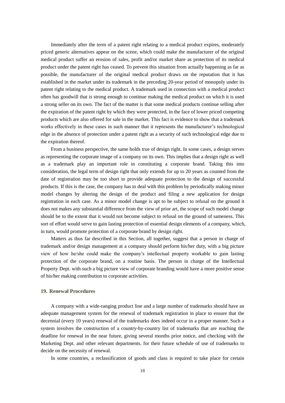Immediately after the term of a patent right relating to a medical product expires, moderately priced generic alternatives appear on the scene, which could make the manufacturer of the original medical product suffer an erosion of sales, profit and/or market share as protection of its medical product under the patent right has ceased. To prevent this situation from actually happening as far as possible, the manufacturer of the original medical product draws on the reputation that it has established in the market under its trademark in the preceding 20-year period of monopoly under its patent right relating to the medical product. A trademark used in connection with a medical product often has goodwill that is strong enough to continue making the medical product on which it is used a strong seller on its own. The fact of the matter is that some medical products continue selling after the expiration of the patent right by which they were protected, in the face of lower priced competing products which are also offered for sale in the market. This fact is evidence to show that a trademark works effectively in these cases in such manner that it represents the manufacturer's technological edge in the absence of protection under a patent right as a security of such technological edge due to the expiration thereof.

From a business perspective, the same holds true of design right. In some cases, a design serves as representing the corporate image of a company on its own. This implies that a design right as well as a trademark play an important role in constituting a corporate brand. Taking this into consideration, the legal term of design right that only extends for up to 20 years as counted from the date of registration may be too short to provide adequate protection to the design of successful products. If this is the case, the company has to deal with this problem by periodically making minor model changes by altering the design of the product and filing a new application for design registration in each case. As a minor model change is apt to be subject to refusal on the ground it does not makes any substantial difference from the view of prior art, the scope of such model change should be to the extent that it would not become subject to refusal on the ground of sameness. This sort of effort would serve to gain lasting protection of essential design elements of a company, which, in turn, would promote protection of a corporate brand by design right.

Matters as thus far described in this Section, all together, suggest that a person in charge of trademark and/or design management at a company should perform his/her duty, with a big picture view of how he/she could make the company's intellectual property workable to gain lasting protection of the corporate brand, on a routine basis. The person in charge of the Intellectual Property Dept. with such a big picture view of corporate branding would have a more positive sense of his/her making contribution to corporate activities.

# **19. Renewal Procedures**

A company with a wide-ranging product line and a large number of trademarks should have an adequate management system for the renewal of trademark registration in place to ensure that the decennial (every 10 years) renewal of the trademarks does indeed occur in a proper manner. Such a system involves the construction of a country-by-country list of trademarks that are reaching the deadline for renewal in the near future, giving several months prior notice, and checking with the Marketing Dept. and other relevant departments. for their future schedule of use of trademarks to decide on the necessity of renewal.

In some countries, a reclassification of goods and class is required to take place for certain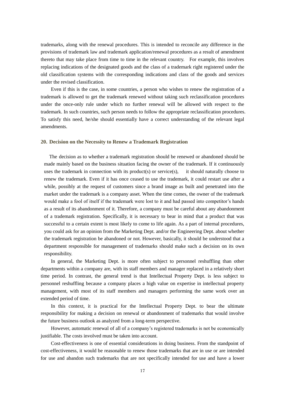trademarks, along with the renewal procedures. This is intended to reconcile any difference in the provisions of trademark law and trademark application/renewal procedures as a result of amendment thereto that may take place from time to time in the relevant country. For example, this involves replacing indications of the designated goods and the class of a trademark right registered under the old classification systems with the corresponding indications and class of the goods and services under the revised classification.

Even if this is the case, in some countries, a person who wishes to renew the registration of a trademark is allowed to get the trademark renewed without taking such reclassification procedures under the once-only rule under which no further renewal will be allowed with respect to the trademark. In such countries, such person needs to follow the appropriate reclassification procedures. To satisfy this need, he/she should essentially have a correct understanding of the relevant legal amendments.

#### **20. Decision on the Necessity to Renew a Trademark Registration**

The decision as to whether a trademark registration should be renewed or abandoned should be made mainly based on the business situation facing the owner of the trademark. If it continuously uses the trademark in connection with its product(s) or service(s), it should naturally choose to renew the trademark. Even if it has once ceased to use the trademark, it could restart use after a while, possibly at the request of customers since a brand image as built and penetrated into the market under the trademark is a company asset. When the time comes, the owner of the trademark would make a fool of itself if the trademark were lost to it and had passed into competitor's hands as a result of its abandonment of it. Therefore, a company must be careful about any abandonment of a trademark registration. Specifically, it is necessary to bear in mind that a product that was successful to a certain extent is most likely to come to life again. As a part of internal procedures, you could ask for an opinion from the Marketing Dept. and/or the Engineering Dept. about whether the trademark registration be abandoned or not. However, basically, it should be understood that a department responsible for management of trademarks should make such a decision on its own responsibility.

In general, the Marketing Dept. is more often subject to personnel reshuffling than other departments within a company are, with its staff members and manager replaced in a relatively short time period. In contrast, the general trend is that Intellectual Property Dept. is less subject to personnel reshuffling because a company places a high value on expertise in intellectual property management, with most of its staff members and managers performing the same work over an extended period of time.

In this context, it is practical for the Intellectual Property Dept. to bear the ultimate responsibility for making a decision on renewal or abandonment of trademarks that would involve the future business outlook as analyzed from a long-term perspective.

However, automatic renewal of all of a company's registered trademarks is not be economically justifiable. The costs involved must be taken into account.

Cost-effectiveness is one of essential considerations in doing business. From the standpoint of cost-effectiveness, it would be reasonable to renew those trademarks that are in use or are intended for use and abandon such trademarks that are not specifically intended for use and have a lower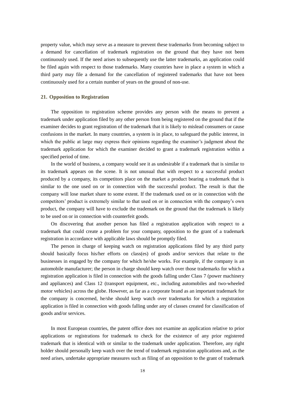property value, which may serve as a measure to prevent these trademarks from becoming subject to a demand for cancellation of trademark registration on the ground that they have not been continuously used. If the need arises to subsequently use the latter trademarks, an application could be filed again with respect to those trademarks. Many countries have in place a system in which a third party may file a demand for the cancellation of registered trademarks that have not been continuously used for a certain number of years on the ground of non-use.

## **21. Opposition to Registration**

The opposition to registration scheme provides any person with the means to prevent a trademark under application filed by any other person from being registered on the ground that if the examiner decides to grant registration of the trademark that it is likely to mislead consumers or cause confusions in the market. In many countries, a system is in place, to safeguard the public interest, in which the public at large may express their opinions regarding the examiner's judgment about the trademark application for which the examiner decided to grant a trademark registration within a specified period of time.

In the world of business, a company would see it as undesirable if a trademark that is similar to its trademark appears on the scene. It is not unusual that with respect to a successful product produced by a company, its competitors place on the market a product bearing a trademark that is similar to the one used on or in connection with the successful product. The result is that the company will lose market share to some extent. If the trademark used on or in connection with the competitors' product is extremely similar to that used on or in connection with the company's own product, the company will have to exclude the trademark on the ground that the trademark is likely to be used on or in connection with counterfeit goods.

On discovering that another person has filed a registration application with respect to a trademark that could create a problem for your company, opposition to the grant of a trademark registration in accordance with applicable laws should be promptly filed.

The person in charge of keeping watch on registration applications filed by any third party should basically focus his/her efforts on class(es) of goods and/or services that relate to the businesses in engaged by the company for which he/she works. For example, if the company is an automobile manufacturer; the person in charge should keep watch over those trademarks for which a registration application is filed in connection with the goods falling under Class 7 (power machinery and appliances) and Class 12 (transport equipment, etc., including automobiles and two-wheeled motor vehicles) across the globe. However, as far as a corporate brand as an important trademark for the company is concerned, he/she should keep watch over trademarks for which a registration application is filed in connection with goods falling under any of classes created for classification of goods and/or services.

In most European countries, the patent office does not examine an application relative to prior applications or registrations for trademark to check for the existence of any prior registered trademark that is identical with or similar to the trademark under application. Therefore, any right holder should personally keep watch over the trend of trademark registration applications and, as the need arises, undertake appropriate measures such as filing of an opposition to the grant of trademark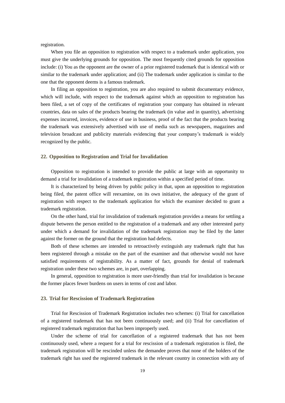registration.

When you file an opposition to registration with respect to a trademark under application, you must give the underlying grounds for opposition. The most frequently cited grounds for opposition include: (i) You as the opponent are the owner of a prior registered trademark that is identical with or similar to the trademark under application; and (ii) The trademark under application is similar to the one that the opponent deems is a famous trademark.

In filing an opposition to registration, you are also required to submit documentary evidence, which will include, with respect to the trademark against which an opposition to registration has been filed, a set of copy of the certificates of registration your company has obtained in relevant countries, data on sales of the products bearing the trademark (in value and in quantity), advertising expenses incurred, invoices, evidence of use in business, proof of the fact that the products bearing the trademark was extensively advertised with use of media such as newspapers, magazines and television broadcast and publicity materials evidencing that your company's trademark is widely recognized by the public.

#### **22. Opposition to Registration and Trial for Invalidation**

Opposition to registration is intended to provide the public at large with an opportunity to demand a trial for invalidation of a trademark registration within a specified period of time.

It is characterized by being driven by public policy in that, upon an opposition to registration being filed, the patent office will reexamine, on its own initiative, the adequacy of the grant of registration with respect to the trademark application for which the examiner decided to grant a trademark registration.

On the other hand, trial for invalidation of trademark registration provides a means for settling a dispute between the person entitled to the registration of a trademark and any other interested party under which a demand for invalidation of the trademark registration may be filed by the latter against the former on the ground that the registration had defects.

Both of these schemes are intended to retroactively extinguish any trademark right that has been registered through a mistake on the part of the examiner and that otherwise would not have satisfied requirements of registrability. As a matter of fact, grounds for denial of trademark registration under these two schemes are, in part, overlapping.

In general, opposition to registration is more user-friendly than trial for invalidation is because the former places fewer burdens on users in terms of cost and labor.

#### **23. Trial for Rescission of Trademark Registration**

Trial for Rescission of Trademark Registration includes two schemes: (i) Trial for cancellation of a registered trademark that has not been continuously used; and (ii) Trial for cancellation of registered trademark registration that has been improperly used.

Under the scheme of trial for cancellation of a registered trademark that has not been continuously used, where a request for a trial for rescission of a trademark registration is filed, the trademark registration will be rescinded unless the demandee proves that none of the holders of the trademark right has used the registered trademark in the relevant country in connection with any of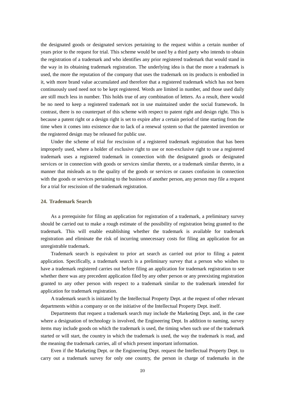the designated goods or designated services pertaining to the request within a certain number of years prior to the request for trial. This scheme would be used by a third party who intends to obtain the registration of a trademark and who identifies any prior registered trademark that would stand in the way in its obtaining trademark registration. The underlying idea is that the more a trademark is used, the more the reputation of the company that uses the trademark on its products is embodied in it, with more brand value accumulated and therefore that a registered trademark which has not been continuously used need not to be kept registered. Words are limited in number, and those used daily are still much less in number. This holds true of any combination of letters. As a result, there would be no need to keep a registered trademark not in use maintained under the social framework. In contrast, there is no counterpart of this scheme with respect to patent right and design right. This is because a patent right or a design right is set to expire after a certain period of time starting from the time when it comes into existence due to lack of a renewal system so that the patented invention or the registered design may be released for public use.

Under the scheme of trial for rescission of a registered trademark registration that has been improperly used, where a holder of exclusive right to use or non-exclusive right to use a registered trademark uses a registered trademark in connection with the designated goods or designated services or in connection with goods or services similar thereto, or a trademark similar thereto, in a manner that misleads as to the quality of the goods or services or causes confusion in connection with the goods or services pertaining to the business of another person, any person may file a request for a trial for rescission of the trademark registration.

# **24. Trademark Search**

As a prerequisite for filing an application for registration of a trademark, a preliminary survey should be carried out to make a rough estimate of the possibility of registration being granted to the trademark. This will enable establishing whether the trademark is available for trademark registration and eliminate the risk of incurring unnecessary costs for filing an application for an unregistrable trademark.

Trademark search is equivalent to prior art search as carried out prior to filing a patent application. Specifically, a trademark search is a preliminary survey that a person who wishes to have a trademark registered carries out before filing an application for trademark registration to see whether there was any precedent application filed by any other person or any preexisting registration granted to any other person with respect to a trademark similar to the trademark intended for application for trademark registration.

A trademark search is initiated by the Intellectual Property Dept. at the request of other relevant departments within a company or on the initiative of the Intellectual Property Dept. itself.

Departments that request a trademark search may include the Marketing Dept. and, in the case where a designation of technology is involved, the Engineering Dept. In addition to naming, survey items may include goods on which the trademark is used, the timing when such use of the trademark started or will start, the country in which the trademark is used, the way the trademark is read, and the meaning the trademark carries, all of which present important information.

Even if the Marketing Dept. or the Engineering Dept. request the Intellectual Property Dept. to carry out a trademark survey for only one country, the person in charge of trademarks in the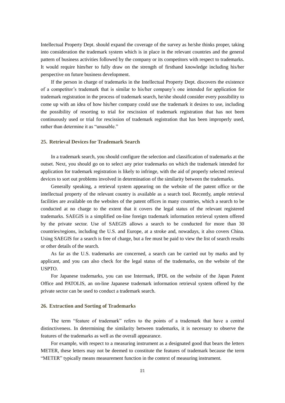Intellectual Property Dept. should expand the coverage of the survey as he/she thinks proper, taking into consideration the trademark system which is in place in the relevant countries and the general pattern of business activities followed by the company or its competitors with respect to trademarks. It would require him/her to fully draw on the strength of firsthand knowledge including his/her perspective on future business development.

If the person in charge of trademarks in the Intellectual Property Dept. discovers the existence of a competitor's trademark that is similar to his/her company's one intended for application for trademark registration in the process of trademark search, he/she should consider every possibility to come up with an idea of how his/her company could use the trademark it desires to use, including the possibility of resorting to trial for rescission of trademark registration that has not been continuously used or trial for rescission of trademark registration that has been improperly used, rather than determine it as "unusable."

# **25. Retrieval Devices for Trademark Search**

In a trademark search, you should configure the selection and classification of trademarks at the outset. Next, you should go on to select any prior trademarks on which the trademark intended for application for trademark registration is likely to infringe, with the aid of properly selected retrieval devices to sort out problems involved in determination of the similarity between the trademarks.

Generally speaking, a retrieval system appearing on the website of the patent office or the intellectual property of the relevant country is available as a search tool. Recently, ample retrieval facilities are available on the websites of the patent offices in many countries, which a search to be conducted at no charge to the extent that it covers the legal status of the relevant registered trademarks. SAEGIS is a simplified on-line foreign trademark information retrieval system offered by the private sector. Use of SAEGIS allows a search to be conducted for more than 30 countries/regions, including the U.S. and Europe, at a stroke and, nowadays, it also covers China. Using SAEGIS for a search is free of charge, but a fee must be paid to view the list of search results or other details of the search.

As far as the U.S. trademarks are concerned, a search can be carried out by marks and by applicant, and you can also check for the legal status of the trademarks, on the website of the USPTO.

For Japanese trademarks, you can use Intermark, IPDL on the website of the Japan Patent Office and PATOLIS, an on-line Japanese trademark information retrieval system offered by the private sector can be used to conduct a trademark search.

#### **26. Extraction and Sorting of Trademarks**

The term "feature of trademark" refers to the points of a trademark that have a central distinctiveness. In determining the similarity between trademarks, it is necessary to observe the features of the trademarks as well as the overall appearance.

For example, with respect to a measuring instrument as a designated good that bears the letters METER, these letters may not be deemed to constitute the features of trademark because the term "METER" typically means measurement function in the context of measuring instrument.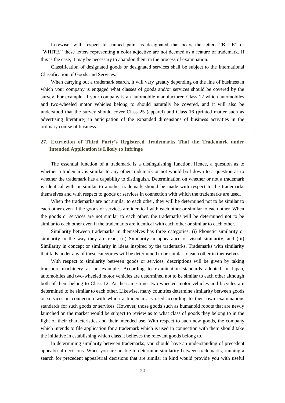Likewise, with respect to canned paint as designated that bears the letters "BLUE" or "WHITE," these letters representing a color adjective are not deemed as a feature of trademark. If this is the case, it may be necessary to abandon them in the process of examination.

Classification of designated goods or designated services shall be subject to the International Classification of Goods and Services.

When carrying out a trademark search, it will vary greatly depending on the line of business in which your company is engaged what classes of goods and/or services should be covered by the survey. For example, if your company is an automobile manufacturer, Class 12 which automobiles and two-wheeled motor vehicles belong to should naturally be covered, and it will also be understood that the survey should cover Class 25 (apparel) and Class 16 (printed matter such as advertising literature) in anticipation of the expanded dimensions of business activities in the ordinary course of business.

# **27. Extraction of Third Party's Registered Trademarks That the Trademark under Intended Application is Likely to Infringe**

The essential function of a trademark is a distinguishing function, Hence, a question as to whether a trademark is similar to any other trademark or not would boil down to a question as to whether the trademark has a capability to distinguish. Determination on whether or not a trademark is identical with or similar to another trademark should be made with respect to the trademarks themselves and with respect to goods or services in connection with which the trademarks are used.

When the trademarks are not similar to each other, they will be determined not to be similar to each other even if the goods or services are identical with each other or similar to each other. When the goods or services are not similar to each other, the trademarks will be determined not to be similar to each other even if the trademarks are identical with each other or similar to each other.

Similarity between trademarks in themselves has three categories: (i) Phonetic similarity or similarity in the way they are read; (ii) Similarity in appearance or visual similarity; and (iii) Similarity in concept or similarity in ideas inspired by the trademarks. Trademarks with similarity that falls under any of these categories will be determined to be similar to each other in themselves.

With respect to similarity between goods or services, descriptions will be given by taking transport machinery as an example. According to examination standards adopted in Japan, automobiles and two-wheeled motor vehicles are determined not to be similar to each other although both of them belong to Class 12. At the same time, two-wheeled motor vehicles and bicycles are determined to be similar to each other. Likewise, many countries determine similarity between goods or services in connection with which a trademark is used according to their own examinations standards for such goods or services. However, those goods such as humanoid robots that are newly launched on the market would be subject to review as to what class of goods they belong to in the light of their characteristics and their intended use. With respect to such new goods, the company which intends to file application for a trademark which is used in connection with them should take the initiative in establishing which class it believes the relevant goods belong to.

In determining similarity between trademarks, you should have an understanding of precedent appeal/trial decisions. When you are unable to determine similarity between trademarks, running a search for precedent appeal/trial decisions that are similar in kind would provide you with useful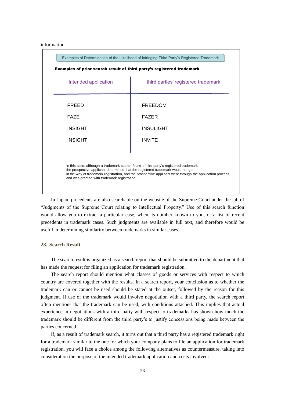#### information.



In Japan, precedents are also searchable on the website of the Supreme Court under the tab of "Judgments of the Supreme Court relating to Intellectual Property." Use of this search function would allow you to extract a particular case, when its number known to you, or a list of recent precedents in trademark cases. Such judgments are available in full text, and therefore would be useful in determining similarity between trademarks in similar cases.

## **28. Search Result**

The search result is organized as a search report that should be submitted to the department that has made the request for filing an application for trademark registration.

The search report should mention what classes of goods or services with respect to which country are covered together with the results. In a search report, your conclusion as to whether the trademark can or cannot be used should be stated at the outset, followed by the reason for this judgment. If use of the trademark would involve negotiation with a third party, the search report often mentions that the trademark can be used, with conditions attached. This implies that actual experience in negotiations with a third party with respect to trademarks has shown how much the trademark should be different from the third party's to justify concessions being made between the parties concerned.

If, as a result of trademark search, it turns out that a third party has a registered trademark right for a trademark similar to the one for which your company plans to file an application for trademark registration, you will face a choice among the following alternatives as countermeasure, taking into consideration the purpose of the intended trademark application and costs involved: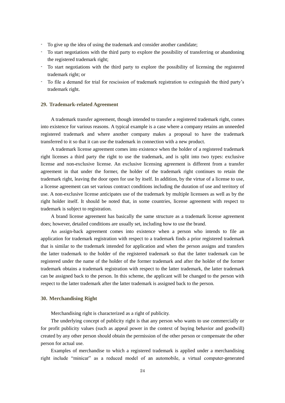- To give up the idea of using the trademark and consider another candidate;
- To start negotiations with the third party to explore the possibility of transferring or abandoning the registered trademark right;
- To start negotiations with the third party to explore the possibility of licensing the registered trademark right; or
- To file a demand for trial for rescission of trademark registration to extinguish the third party's trademark right.

#### **29. Trademark-related Agreement**

A trademark transfer agreement, though intended to transfer a registered trademark right, comes into existence for various reasons. A typical example is a case where a company retains an unneeded registered trademark and where another company makes a proposal to have the trademark transferred to it so that it can use the trademark in connection with a new product.

A trademark license agreement comes into existence when the holder of a registered trademark right licenses a third party the right to use the trademark, and is split into two types: exclusive license and non-exclusive license. An exclusive licensing agreement is different from a transfer agreement in that under the former, the holder of the trademark right continues to retain the trademark right, leaving the door open for use by itself. In addition, by the virtue of a license to use, a license agreement can set various contract conditions including the duration of use and territory of use. A non-exclusive license anticipates use of the trademark by multiple licensees as well as by the right holder itself. It should be noted that, in some countries, license agreement with respect to trademark is subject to registration.

A brand license agreement has basically the same structure as a trademark license agreement does; however, detailed conditions are usually set, including how to use the brand.

An assign-back agreement comes into existence when a person who intends to file an application for trademark registration with respect to a trademark finds a prior registered trademark that is similar to the trademark intended for application and when the person assigns and transfers the latter trademark to the holder of the registered trademark so that the latter trademark can be registered under the name of the holder of the former trademark and after the holder of the former trademark obtains a trademark registration with respect to the latter trademark, the latter trademark can be assigned back to the person. In this scheme, the applicant will be changed to the person with respect to the latter trademark after the latter trademark is assigned back to the person.

#### **30. Merchandising Right**

Merchandising right is characterized as a right of publicity.

The underlying concept of publicity right is that any person who wants to use commercially or for profit publicity values (such as appeal power in the context of buying behavior and goodwill) created by any other person should obtain the permission of the other person or compensate the other person for actual use.

Examples of merchandise to which a registered trademark is applied under a merchandising right include "minicar" as a reduced model of an automobile, a virtual computer-generated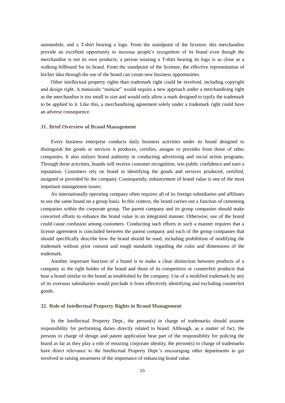automobile, and a T-shirt bearing a logo. From the standpoint of the licensor, this merchandise provide an excellent opportunity to increase people's recognition of its brand even though the merchandise is not its own products; a person wearing a T-shirt bearing its logo is as close as a walking billboard for its brand. From the standpoint of the licensee, the effective representation of his/her idea through the use of the brand can create new business opportunities.

Other intellectual property rights than trademark right could be involved, including copyright and design right. A miniscule "minicar" would require a new approach under a merchandising right as the merchandise is too small in size and would only allow a mark designed to typify the trademark to be applied to it. Like this, a merchandising agreement solely under a trademark right could have an adverse consequence.

#### **31. Brief Overview of Brand Management**

Every business enterprise conducts daily business activities under its brand designed to distinguish the goods or services it produces, certifies, assigns or provides from those of other companies. It also utilizes brand authority in conducting advertising and social action programs. Through these activities, brands will receive customer recognition, win public confidence and earn a reputation. Customers rely on brand in identifying the goods and services produced, certified, assigned or provided by the company. Consequently, enhancement of brand value is one of the most important management issues.

An internationally operating company often requires all of its foreign subsidiaries and affiliates to use the same brand on a group basis. In this context, the brand carries out a function of cementing companies within the corporate group. The parent company and its group companies should make concerted efforts to enhance the brand value in an integrated manner. Otherwise, use of the brand could cause confusion among customers. Conducting such efforts in such a manner requires that a license agreement is concluded between the parent company and each of the group companies that should specifically describe how the brand should be used, including prohibition of modifying the trademark without prior consent and tough standards regarding the color and dimensions of the trademark.

Another important function of a brand is to make a clear distinction between products of a company as the right holder of the brand and those of its competitors or counterfeit products that bear a brand similar to the brand as established by the company. Use of a modified trademark by any of its overseas subsidiaries would preclude it from effectively identifying and excluding counterfeit goods.

#### **32. Role of Intellectual Property Rights in Brand Management**

In the Intellectual Property Dept., the person(s) in charge of trademarks should assume responsibility for performing duties directly related to brand. Although, as a matter of fact, the persons in charge of design and patent application bear part of the responsibility for policing the brand as far as they play a role of ensuring corporate identity, the person(s) in charge of trademarks have direct relevance to the Intellectual Property Dept.'s encouraging other departments to get involved in raising awareness of the importance of enhancing brand value.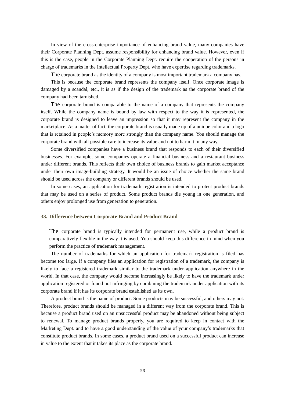In view of the cross-enterprise importance of enhancing brand value, many companies have their Corporate Planning Dept. assume responsibility for enhancing brand value. However, even if this is the case, people in the Corporate Planning Dept. require the cooperation of the persons in charge of trademarks in the Intellectual Property Dept. who have expertise regarding trademarks.

The corporate brand as the identity of a company is most important trademark a company has.

This is because the corporate brand represents the company itself. Once corporate image is damaged by a scandal, etc., it is as if the design of the trademark as the corporate brand of the company had been tarnished.

The corporate brand is comparable to the name of a company that represents the company itself. While the company name is bound by law with respect to the way it is represented, the corporate brand is designed to leave an impression so that it may represent the company in the marketplace. As a matter of fact, the corporate brand is usually made up of a unique color and a logo that is retained in people's memory more strongly than the company name. You should manage the corporate brand with all possible care to increase its value and not to harm it in any way.

Some diversified companies have a business brand that responds to each of their diversified businesses. For example, some companies operate a financial business and a restaurant business under different brands. This reflects their own choice of business brands to gain market acceptance under their own image-building strategy. It would be an issue of choice whether the same brand should be used across the company or different brands should be used.

In some cases, an application for trademark registration is intended to protect product brands that may be used on a series of product. Some product brands die young in one generation, and others enjoy prolonged use from generation to generation.

#### **33. Difference between Corporate Brand and Product Brand**

The corporate brand is typically intended for permanent use, while a product brand is comparatively flexible in the way it is used. You should keep this difference in mind when you perform the practice of trademark management.

The number of trademarks for which an application for trademark registration is filed has become too large. If a company files an application for registration of a trademark, the company is likely to face a registered trademark similar to the trademark under application anywhere in the world. In that case, the company would become increasingly be likely to have the trademark under application registered or found not infringing by combining the trademark under application with its corporate brand if it has its corporate brand established as its own.

A product brand is the name of product. Some products may be successful, and others may not. Therefore, product brands should be managed in a different way from the corporate brand. This is because a product brand used on an unsuccessful product may be abandoned without being subject to renewal. To manage product brands properly, you are required to keep in contact with the Marketing Dept. and to have a good understanding of the value of your company's trademarks that constitute product brands. In some cases, a product brand used on a successful product can increase in value to the extent that it takes its place as the corporate brand.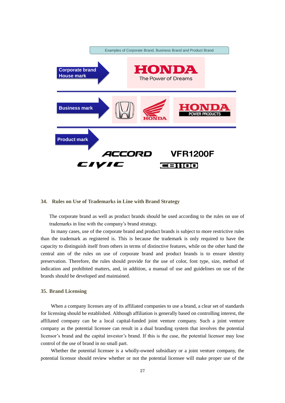

#### **34. Rules on Use of Trademarks in Line with Brand Strategy**

The corporate brand as well as product brands should be used according to the rules on use of trademarks in line with the company's brand strategy.

In many cases, use of the corporate brand and product brands is subject to more restrictive rules than the trademark as registered is. This is because the trademark is only required to have the capacity to distinguish itself from others in terms of distinctive features, while on the other hand the central aim of the rules on use of corporate brand and product brands is to ensure identity preservation. Therefore, the rules should provide for the use of color, font type, size, method of indication and prohibited matters, and, in addition, a manual of use and guidelines on use of the brands should be developed and maintained.

#### **35. Brand Licensing**

When a company licenses any of its affiliated companies to use a brand, a clear set of standards for licensing should be established. Although affiliation is generally based on controlling interest, the affiliated company can be a local capital-funded joint venture company. Such a joint venture company as the potential licensee can result in a dual branding system that involves the potential licensor's brand and the capital investor's brand. If this is the case, the potential licensor may lose control of the use of brand in no small part.

Whether the potential licensee is a wholly-owned subsidiary or a joint venture company, the potential licensor should review whether or not the potential licensee will make proper use of the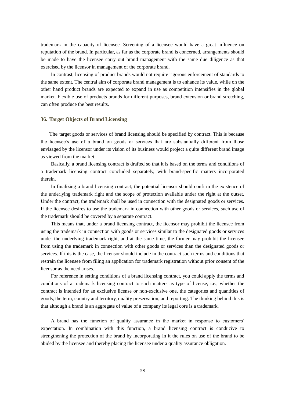trademark in the capacity of licensee. Screening of a licensee would have a great influence on reputation of the brand. In particular, as far as the corporate brand is concerned, arrangements should be made to have the licensee carry out brand management with the same due diligence as that exercised by the licensor in management of the corporate brand.

In contrast, licensing of product brands would not require rigorous enforcement of standards to the same extent. The central aim of corporate brand management is to enhance its value, while on the other hand product brands are expected to expand in use as competition intensifies in the global market. Flexible use of products brands for different purposes, brand extension or brand stretching, can often produce the best results.

#### **36. Target Objects of Brand Licensing**

The target goods or services of brand licensing should be specified by contract. This is because the licensee's use of a brand on goods or services that are substantially different from those envisaged by the licensor under its vision of its business would project a quite different brand image as viewed from the market.

Basically, a brand licensing contract is drafted so that it is based on the terms and conditions of a trademark licensing contract concluded separately, with brand-specific matters incorporated therein.

In finalizing a brand licensing contract, the potential licensor should confirm the existence of the underlying trademark right and the scope of protection available under the right at the outset. Under the contract, the trademark shall be used in connection with the designated goods or services. If the licensee desires to use the trademark in connection with other goods or services, such use of the trademark should be covered by a separate contract.

This means that, under a brand licensing contract, the licensor may prohibit the licensee from using the trademark in connection with goods or services similar to the designated goods or services under the underlying trademark right, and at the same time, the former may prohibit the licensee from using the trademark in connection with other goods or services than the designated goods or services. If this is the case, the licensor should include in the contract such terms and conditions that restrain the licensee from filing an application for trademark registration without prior consent of the licensor as the need arises.

For reference in setting conditions of a brand licensing contract, you could apply the terms and conditions of a trademark licensing contract to such matters as type of license, i.e., whether the contract is intended for an exclusive license or non-exclusive one, the categories and quantities of goods, the term, country and territory, quality preservation, and reporting. The thinking behind this is that although a brand is an aggregate of value of a company its legal core is a trademark.

A brand has the function of quality assurance in the market in response to customers' expectation. In combination with this function, a brand licensing contract is conducive to strengthening the protection of the brand by incorporating in it the rules on use of the brand to be abided by the licensee and thereby placing the licensee under a quality assurance obligation.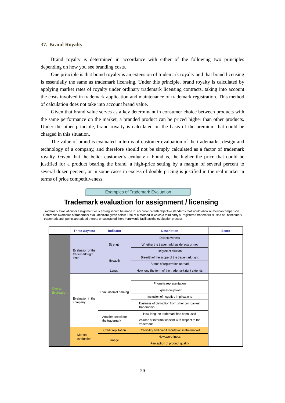#### **37. Brand Royalty**

Brand royalty is determined in accordance with either of the following two principles depending on how you see branding costs.

One principle is that brand royalty is an extension of trademark royalty and that brand licensing is essentially the same as trademark licensing. Under this principle, brand royalty is calculated by applying market rates of royalty under ordinary trademark licensing contracts, taking into account the costs involved in trademark application and maintenance of trademark registration. This method of calculation does not take into account brand value.

Given that brand value serves as a key determinant in consumer choice between products with the same performance on the market, a branded product can be priced higher than other products. Under the other principle, brand royalty is calculated on the basis of the premium that could be charged in this situation.

The value of brand is evaluated in terms of customer evaluation of the trademarks, design and technology of a company, and therefore should not be simply calculated as a factor of trademark royalty. Given that the better customer's evaluate a brand is, the higher the price that could be justified for a product bearing the brand, a high-price setting by a margin of several percent to several dozen percent, or in some cases in excess of double pricing is justified in the real market in terms of price competitiveness.

Examples of Trademark Evaluation

# **Trademark evaluation for assignment / licensing**

Trademark evaluation for assignment or licensing should be made in accordance with objective standards that would allow numerical comparison. Reference examples of trademark evaluation are given below. Use of a method in which a third party's registered trademark is used as benchmark trademark and points are added thereto or subtracted therefrom would facilitate the evaluation process.

|                                     | <b>Three-way test</b>                                                                        | Indicator                                                   | <b>Description</b>                                          | <b>Score</b>                  |  |
|-------------------------------------|----------------------------------------------------------------------------------------------|-------------------------------------------------------------|-------------------------------------------------------------|-------------------------------|--|
|                                     | Evaluation of the                                                                            |                                                             |                                                             | <b>Distinctiveness</b>        |  |
|                                     |                                                                                              | Strength<br>trademark right                                 | Whether the trademark has defects or not                    |                               |  |
|                                     |                                                                                              |                                                             | Degree of dilution                                          |                               |  |
|                                     | itself                                                                                       |                                                             | Breadth of the scope of the trademark right                 |                               |  |
|                                     |                                                                                              |                                                             | <b>Breadth</b>                                              | Status of registration abroad |  |
|                                     |                                                                                              | Length                                                      | How long the term of the trademark right extends            |                               |  |
|                                     | Evaluation of naming<br>Evaluation in the<br>company<br>Attachment felt for<br>the trademark |                                                             |                                                             |                               |  |
|                                     |                                                                                              |                                                             | Phonetic representation                                     |                               |  |
| <b>Overall</b><br><b>Evaluation</b> |                                                                                              |                                                             | Expressive power                                            |                               |  |
|                                     |                                                                                              |                                                             | Inclusion of negative implications                          |                               |  |
|                                     |                                                                                              |                                                             | Easiness of distinction from other companies'<br>trademarks |                               |  |
|                                     |                                                                                              |                                                             | How long the trademark has been used                        |                               |  |
|                                     |                                                                                              | Volume of information sent with respect to the<br>trademark |                                                             |                               |  |
|                                     |                                                                                              | <b>Credit reputation</b>                                    | Credibility and credit reputation in the market             |                               |  |
|                                     | <b>Market</b><br>evaluation<br>Image                                                         | <b>Newsworthiness</b>                                       |                                                             |                               |  |
|                                     |                                                                                              | Perception of product quality                               |                                                             |                               |  |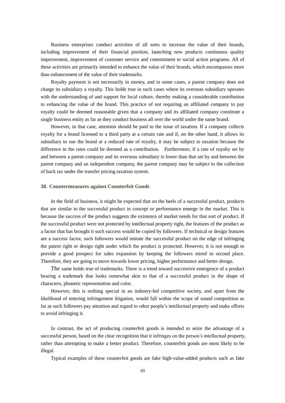Business enterprises conduct activities of all sorts to increase the value of their brands, including improvement of their financial position, launching new products continuous quality improvement, improvement of customer service and commitment to social action programs. All of these activities are primarily intended to enhance the value of their brands, which encompasses more than enhancement of the value of their trademarks.

Royalty payment is not necessarily in money, and in some cases, a parent company does not charge its subsidiary a royalty. This holds true in such cases where its overseas subsidiary operates with the understanding of and support for local culture, thereby making a considerable contribution to enhancing the value of the brand. This practice of not requiring an affiliated company to pay royalty could be deemed reasonable given that a company and its affiliated company constitute a single business entity as far as they conduct business all over the world under the same brand.

However, in that case, attention should be paid to the issue of taxation. If a company collects royalty for a brand licensed to a third party at a certain rate and if, on the other hand, it allows its subsidiary to use the brand at a reduced rate of royalty, it may be subject to taxation because the difference in the rates could be deemed as a contribution. Furthermore, if a rate of royalty set by and between a parent company and its overseas subsidiary is lower than that set by and between the parent company and an independent company, the parent company may be subject to the collection of back tax under the transfer pricing taxation system.

#### **38. Countermeasures against Counterfeit Goods**

In the field of business, it might be expected that on the heels of a successful product, products that are similar to the successful product in concept or performance emerge in the market. This is because the success of the product suggests the existence of market needs for that sort of product. If the successful product were not protected by intellectual property right, the features of the product as a factor that has brought it such success would be copied by followers. If technical or design features are a success factor, such followers would imitate the successful product on the edge of infringing the patent right or design right under which the product is protected. However, it is not enough to provide a good prospect for sales expansion by keeping the followers mired in second place. Therefore, they are going to move towards lower pricing, higher performance and better design.

The same holds true of trademarks. There is a trend toward successive emergence of a product bearing a trademark that looks somewhat akin to that of a successful product in the shape of characters, phonetic representation and color.

However, this is nothing special in an industry-led competitive society, and apart from the likelihood of entering infringement litigation, would fall within the scope of sound competition as far as such followers pay attention and regard to other people's intellectual property and make efforts to avoid infringing it.

In contrast, the act of producing counterfeit goods is intended to seize the advantage of a successful person, based on the clear recognition that it infringes on the person's intellectual property, rather than attempting to make a better product. Therefore, counterfeit goods are most likely to be illegal.

Typical examples of these counterfeit goods are fake high-value-added products such as fake